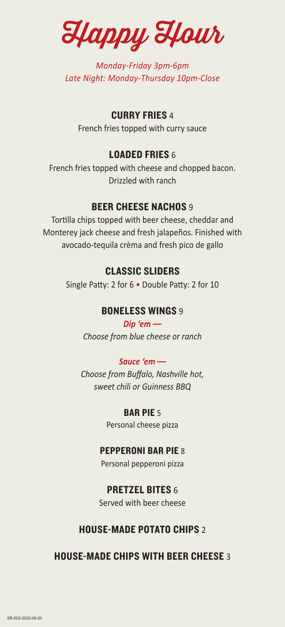Happy Hour

*Monday-Friday 3pm-6pm Late Night: Monday-Thursday 10pm-Close*

## CURRY FRIES 4

French fries topped with curry sauce

## LOADED FRIES 6

French fries topped with cheese and chopped bacon. Drizzled with ranch

## **BEER CHEESE NACHOS 9**

Tortilla chips topped with beer cheese, cheddar and Monterey jack cheese and fresh jalapeños. Finished with avocado-tequila crèma and fresh pico de gallo

## CLASSIC SLIDERS

Single Patty: 2 for 6 • Double Patty: 2 for 10

## BONELESS WINGS 9

*Dip 'em –– Choose from blue cheese or ranch*

### *Sauce 'em ––*

*Choose from Buffalo, Nashville hot, sweet chili or Guinness BBQ*

> BAR PIE 5 Personal cheese pizza

## PEPPERONI BAR PIE 8

Personal pepperoni pizza

## PRETZEL BITES 6

Served with beer cheese

## HOUSE-MADE POTATO CHIPS 2

HOUSE-MADE CHIPS WITH BEER CHEESE 3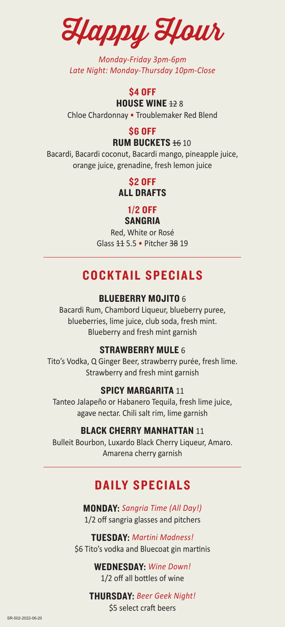Happy Hour

*Monday-Friday 3pm-6pm Late Night: Monday-Thursday 10pm-Close* 

### **\$4 OFF HOUSE WINE 128**

Chloe Chardonnay • Troublemaker Red Blend

## \$6 OFF

### **RUM BUCKETS 16 10**

Bacardi, Bacardi coconut, Bacardi mango, pineapple juice, orange juice, grenadine, fresh lemon juice

> \$2 OFF ALL DRAFTS

### 1/2 OFF SANGRIA

## Red, White or Rosé Glass 11 5.5 • Pitcher 38 19

## COCKTAIL SPECIALS

## **BLUEBERRY MOJITO 6**

Bacardi Rum, Chambord Liqueur, blueberry puree, blueberries, lime juice, club soda, fresh mint. Blueberry and fresh mint garnish

## STRAWBERRY MULE 6

Tito's Vodka, Q Ginger Beer, strawberry purée, fresh lime. Strawberry and fresh mint garnish

## SPICY MARGARITA 11

Tanteo Jalapeño or Habanero Tequila, fresh lime juice, agave nectar. Chili salt rim, lime garnish

## BLACK CHERRY MANHATTAN 11

Bulleit Bourbon, Luxardo Black Cherry Liqueur, Amaro. Amarena cherry garnish

## DAILY SPECIALS

MONDAY: *Sangria Time (All Day!)* 1/2 off sangria glasses and pitchers

TUESDAY: *Martini Madness!* \$6 Tito's vodka and Bluecoat gin martinis

> WEDNESDAY: *Wine Down!* 1/2 off all bottles of wine

## THURSDAY: *Beer Geek Night!*

\$5 select craft beers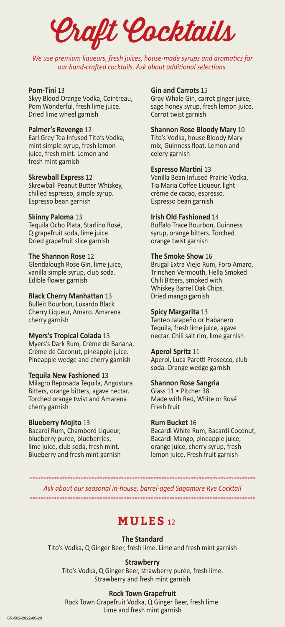Craft Cocktails

*We use premium liqueurs, fresh juices, house-made syrups and aromatics for our hand-crafted cocktails. Ask about additional selections.* 

#### **Pom-Tini** 13

Skyy Blood Orange Vodka, Cointreau, Pom Wonderful, fresh lime juice. Dried lime wheel garnish

#### **Palmer's Revenge** 12

Earl Grey Tea Infused Tito's Vodka, mint simple syrup, fresh lemon juice, fresh mint. Lemon and fresh mint garnish

#### **Skrewball Express** 12

Skrewball Peanut Butter Whiskey, chilled espresso, simple syrup. Espresso bean garnish

#### **Skinny Paloma** 13

Tequila Ocho Plata, Starlino Rosé, Q grapefruit soda, lime juice. Dried grapefruit slice garnish

#### **The Shannon Rose** 12

Glendalough Rose Gin, lime juice, vanilla simple syrup, club soda. Edible flower garnish

#### **Black Cherry Manhattan** 13

Bulleit Bourbon, Luxardo Black Cherry Liqueur, Amaro. Amarena cherry garnish

#### **Myers's Tropical Colada** 13

Myers's Dark Rum, Crème de Banana, Crème de Coconut, pineapple juice. Pineapple wedge and cherry garnish

#### **Tequila New Fashioned** 13

Milagro Reposada Tequila, Angostura Bitters, orange bitters, agave nectar. Torched orange twist and Amarena cherry garnish

#### **Blueberry Mojito** 13

Bacardi Rum, Chambord Liqueur, blueberry puree, blueberries, lime juice, club soda, fresh mint. Blueberry and fresh mint garnish

#### **Gin and Carrots** 15

Gray Whale Gin, carrot ginger juice, sage honey syrup, fresh lemon juice. Carrot twist garnish

#### **Shannon Rose Bloody Mary** 10

Tito's Vodka, house Bloody Mary mix, Guinness float. Lemon and celery garnish

#### **Espresso Martini** 13

Vanilla Bean Infused Prairie Vodka, Tia Maria Coffee Liqueur, light crème de cacao, espresso. Espresso bean garnish

#### **Irish Old Fashioned** 14

Buffalo Trace Bourbon, Guinness syrup, orange bitters. Torched orange twist garnish

#### **The Smoke Show** 16

Brugal Extra Viejo Rum, Foro Amaro, Trincheri Vermouth, Hella Smoked Chili Bitters, smoked with Whiskey Barrel Oak Chips. Dried mango garnish

#### **Spicy Margarita** 13

Tanteo Jalapeño or Habanero Tequila, fresh lime juice, agave nectar. Chili salt rim, lime garnish

#### **Aperol Spritz** 11

Aperol, Luca Paretti Prosecco, club soda. Orange wedge garnish

#### **Shannon Rose Sangria**

Glass 11 • Pitcher 38 Made with Red, White or Rosé Fresh fruit

#### **Rum Bucket** 16

Bacardi White Rum, Bacardi Coconut, Bacardi Mango, pineapple juice, orange juice, cherry syrup, fresh lemon juice. Fresh fruit garnish

*Ask about our seasonal in-house, barrel-aged Sagamore Rye Cocktail*

## **MULES** 12

#### **The Standard**

Tito's Vodka, Q Ginger Beer, fresh lime. Lime and fresh mint garnish

#### **Strawberry**

Tito's Vodka, Q Ginger Beer, strawberry purée, fresh lime. Strawberry and fresh mint garnish

#### **Rock Town Grapefruit**

Rock Town Grapefruit Vodka, Q Ginger Beer, fresh lime. Lime and fresh mint garnish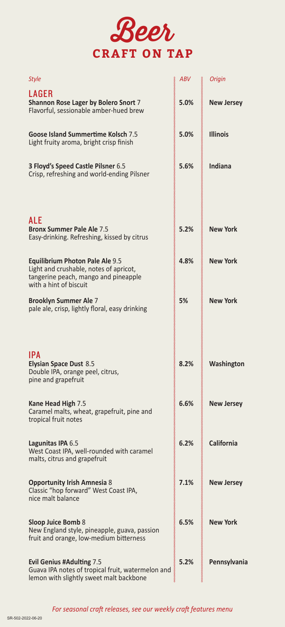

| <b>Style</b>                                                                                                                                       | ABV  | Origin            |
|----------------------------------------------------------------------------------------------------------------------------------------------------|------|-------------------|
| LAGER<br>Shannon Rose Lager by Bolero Snort 7<br>Flavorful, sessionable amber-hued brew                                                            | 5.0% | <b>New Jersey</b> |
| Goose Island Summertime Kolsch 7.5<br>Light fruity aroma, bright crisp finish                                                                      | 5.0% | <b>Illinois</b>   |
| 3 Floyd's Speed Castle Pilsner 6.5<br>Crisp, refreshing and world-ending Pilsner                                                                   | 5.6% | Indiana           |
|                                                                                                                                                    |      |                   |
| ALE<br><b>Bronx Summer Pale Ale 7.5</b><br>Easy-drinking. Refreshing, kissed by citrus                                                             | 5.2% | <b>New York</b>   |
| <b>Equilibrium Photon Pale Ale 9.5</b><br>Light and crushable, notes of apricot,<br>tangerine peach, mango and pineapple<br>with a hint of biscuit | 4.8% | <b>New York</b>   |
| <b>Brooklyn Summer Ale 7</b><br>pale ale, crisp, lightly floral, easy drinking                                                                     | 5%   | <b>New York</b>   |
|                                                                                                                                                    |      |                   |
| IPA<br><b>Elysian Space Dust 8.5</b><br>Double IPA, orange peel, citrus,<br>pine and grapefruit                                                    | 8.2% | Washington        |
| Kane Head High 7.5<br>Caramel malts, wheat, grapefruit, pine and<br>tropical fruit notes                                                           | 6.6% | <b>New Jersey</b> |
| Lagunitas IPA 6.5<br>West Coast IPA, well-rounded with caramel<br>malts, citrus and grapefruit                                                     | 6.2% | <b>California</b> |
| <b>Opportunity Irish Amnesia 8</b><br>Classic "hop forward" West Coast IPA,<br>nice malt balance                                                   | 7.1% | <b>New Jersey</b> |
| <b>Sloop Juice Bomb 8</b><br>New England style, pineapple, guava, passion<br>fruit and orange, low-medium bitterness                               | 6.5% | <b>New York</b>   |
| <b>Evil Genius #Adulting 7.5</b><br>Guava IPA notes of tropical fruit, watermelon and<br>lemon with slightly sweet malt backbone                   | 5.2% | Pennsylvania      |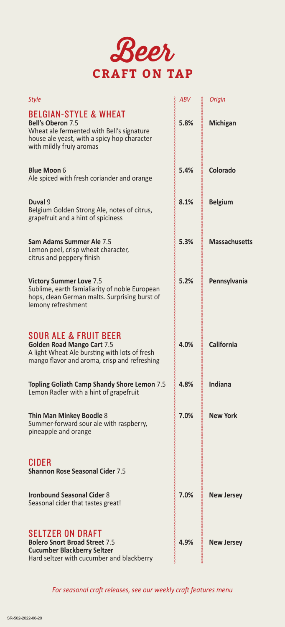

| <b>Style</b>                                                                                                                                                                         | <b>ABV</b> | <b>Origin</b>        |
|--------------------------------------------------------------------------------------------------------------------------------------------------------------------------------------|------------|----------------------|
| <b>BELGIAN-STYLE &amp; WHEAT</b><br><b>Bell's Oberon 7.5</b><br>Wheat ale fermented with Bell's signature<br>house ale yeast, with a spicy hop character<br>with mildly fruiy aromas | 5.8%       | Michigan             |
| <b>Blue Moon 6</b><br>Ale spiced with fresh coriander and orange                                                                                                                     | 5.4%       | Colorado             |
| Duval 9<br>Belgium Golden Strong Ale, notes of citrus,<br>grapefruit and a hint of spiciness                                                                                         | 8.1%       | <b>Belgium</b>       |
| <b>Sam Adams Summer Ale 7.5</b><br>Lemon peel, crisp wheat character,<br>citrus and peppery finish                                                                                   | 5.3%       | <b>Massachusetts</b> |
| <b>Victory Summer Love 7.5</b><br>Sublime, earth famialiarity of noble European<br>hops, clean German malts. Surprising burst of<br>lemony refreshment                               | 5.2%       | Pennsylvania         |
| <b>SOUR ALE &amp; FRUIT BEER</b><br><b>Golden Road Mango Cart 7.5</b><br>A light Wheat Ale bursting with lots of fresh<br>mango flavor and aroma, crisp and refreshing               | 4.0%       | <b>California</b>    |
| <b>Topling Goliath Camp Shandy Shore Lemon 7.5</b><br>Lemon Radler with a hint of grapefruit                                                                                         | 4.8%       | Indiana              |
| Thin Man Minkey Boodle 8<br>Summer-forward sour ale with raspberry,<br>pineapple and orange                                                                                          | 7.0%       | <b>New York</b>      |
| <b>CIDER</b><br><b>Shannon Rose Seasonal Cider 7.5</b>                                                                                                                               |            |                      |
| <b>Ironbound Seasonal Cider 8</b><br>Seasonal cider that tastes great!                                                                                                               | 7.0%       | <b>New Jersey</b>    |
| <b>SELTZER ON DRAFT</b><br><b>Bolero Snort Broad Street 7.5</b><br><b>Cucumber Blackberry Seltzer</b><br>Hard seltzer with cucumber and blackberry                                   | 4.9%       | <b>New Jersey</b>    |

*For seasonal craft releases, see our weekly craft features menu*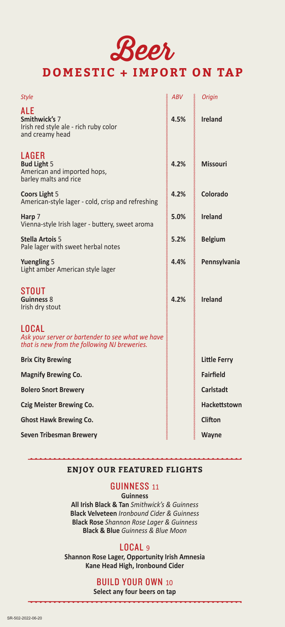# Beer **DOMESTIC + IMPORT ON TAP**

| Style                                                                                                            | <b>ABV</b> | <b>Origin</b>       |
|------------------------------------------------------------------------------------------------------------------|------------|---------------------|
| ALE                                                                                                              |            |                     |
| Smithwick's 7<br>Irish red style ale - rich ruby color<br>and creamy head                                        | 4.5%       | <b>Ireland</b>      |
| LAGER<br><b>Bud Light 5</b><br>American and imported hops,<br>barley malts and rice                              | 4.2%       | <b>Missouri</b>     |
| Coors Light 5<br>American-style lager - cold, crisp and refreshing                                               | 4.2%       | Colorado            |
| Harp 7<br>Vienna-style Irish lager - buttery, sweet aroma                                                        | 5.0%       | <b>Ireland</b>      |
| <b>Stella Artois 5</b><br>Pale lager with sweet herbal notes                                                     | 5.2%       | <b>Belgium</b>      |
| <b>Yuengling 5</b><br>Light amber American style lager                                                           | 4.4%       | Pennsylvania        |
| <b>STOUT</b><br>Guinness 8<br>Irish dry stout                                                                    | 4.2%       | <b>Ireland</b>      |
| <b>LOCAL</b><br>Ask your server or bartender to see what we have<br>that is new from the following NJ breweries. |            |                     |
| <b>Brix City Brewing</b>                                                                                         |            | <b>Little Ferry</b> |
| <b>Magnify Brewing Co.</b>                                                                                       |            | <b>Fairfield</b>    |
| <b>Bolero Snort Brewery</b>                                                                                      |            | <b>Carlstadt</b>    |
| <b>Czig Meister Brewing Co.</b>                                                                                  |            | <b>Hackettstown</b> |
| <b>Ghost Hawk Brewing Co.</b>                                                                                    |            | <b>Clifton</b>      |
| <b>Seven Tribesman Brewery</b>                                                                                   |            | <b>Wayne</b>        |

### **ENJOY OUR FEATURED FLIGHTS**

### GUINNESS <sup>11</sup>

**Guinness**

**All Irish Black & Tan** *Smithwick's & Guinness* **Black Velveteen** *Ironbound Cider & Guinness* **Black Rose** *Shannon Rose Lager & Guinness*  **Black & Blue** *Guinness & Blue Moon* 

### LOCAL <sup>9</sup>

**Shannon Rose Lager, Opportunity Irish Amnesia Kane Head High, Ironbound Cider**

## BUILD YOUR OWN <sup>10</sup>

**Select any four beers on tap**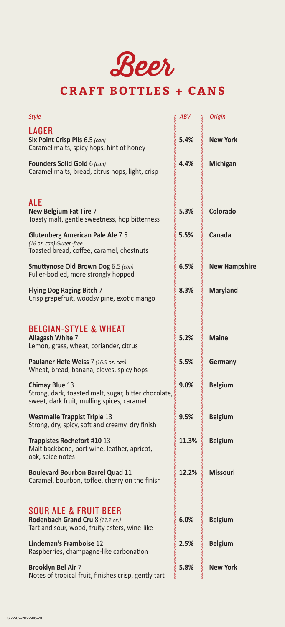Beer

## **CRAFT BOTTLES + CANS**

| Style                                                                                                                       | ABV   | Origin               |
|-----------------------------------------------------------------------------------------------------------------------------|-------|----------------------|
| <b>LAGER</b><br>Six Point Crisp Pils 6.5 (can)<br>Caramel malts, spicy hops, hint of honey                                  | 5.4%  | <b>New York</b>      |
| <b>Founders Solid Gold 6 (can)</b><br>Caramel malts, bread, citrus hops, light, crisp                                       | 4.4%  | <b>Michigan</b>      |
| ALE<br><b>New Belgium Fat Tire 7</b><br>Toasty malt, gentle sweetness, hop bitterness                                       | 5.3%  | Colorado             |
| <b>Glutenberg American Pale Ale 7.5</b><br>(16 oz. can) Gluten-free<br>Toasted bread, coffee, caramel, chestnuts            | 5.5%  | Canada               |
| <b>Smuttynose Old Brown Dog 6.5 (can)</b><br>Fuller-bodied, more strongly hopped                                            | 6.5%  | <b>New Hampshire</b> |
| <b>Flying Dog Raging Bitch 7</b><br>Crisp grapefruit, woodsy pine, exotic mango                                             | 8.3%  | <b>Maryland</b>      |
| <b>BELGIAN-STYLE &amp; WHEAT</b><br>Allagash White 7<br>Lemon, grass, wheat, coriander, citrus                              | 5.2%  | <b>Maine</b>         |
| Paulaner Hefe Weiss 7 (16.9 oz. can)<br>Wheat, bread, banana, cloves, spicy hops                                            | 5.5%  | Germany              |
| <b>Chimay Blue 13</b><br>Strong, dark, toasted malt, sugar, bitter chocolate,<br>sweet, dark fruit, mulling spices, caramel | 9.0%  | <b>Belgium</b>       |
| <b>Westmalle Trappist Triple 13</b><br>Strong, dry, spicy, soft and creamy, dry finish                                      | 9.5%  | <b>Belgium</b>       |
| Trappistes Rochefort #10 13<br>Malt backbone, port wine, leather, apricot,<br>oak, spice notes                              | 11.3% | <b>Belgium</b>       |
| <b>Boulevard Bourbon Barrel Quad 11</b><br>Caramel, bourbon, toffee, cherry on the finish                                   | 12.2% | <b>Missouri</b>      |
| <b>SOUR ALE &amp; FRUIT BEER</b><br>Rodenbach Grand Cru 8 (11.2 oz.)<br>Tart and sour, wood, fruity esters, wine-like       | 6.0%  | <b>Belgium</b>       |
| Lindeman's Framboise 12<br>Raspberries, champagne-like carbonation                                                          | 2.5%  | <b>Belgium</b>       |
| <b>Brooklyn Bel Air 7</b><br>Notes of tropical fruit, finishes crisp, gently tart                                           | 5.8%  | <b>New York</b>      |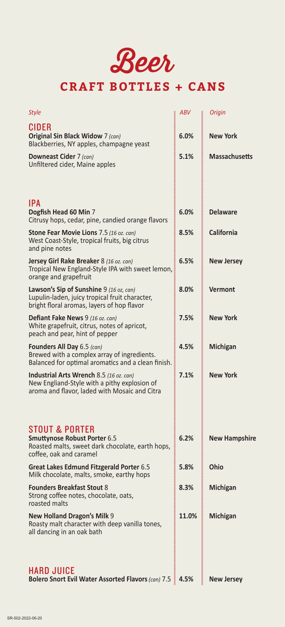

## **CRAFT BOTTLES + CANS**

| <b>Style</b>                                                                                                                                    | <b>ABV</b> | <b>Origin</b>        |
|-------------------------------------------------------------------------------------------------------------------------------------------------|------------|----------------------|
| CIDER<br><b>Original Sin Black Widow 7 (can)</b><br>Blackberries, NY apples, champagne yeast                                                    | 6.0%       | <b>New York</b>      |
| Downeast Cider 7 (can)<br>Unfiltered cider, Maine apples                                                                                        | 5.1%       | <b>Massachusetts</b> |
| IPA<br>Dogfish Head 60 Min 7<br>Citrusy hops, cedar, pine, candied orange flavors                                                               | 6.0%       | <b>Delaware</b>      |
| Stone Fear Movie Lions 7.5 (16 oz. can)<br>West Coast-Style, tropical fruits, big citrus<br>and pine notes                                      | 8.5%       | <b>California</b>    |
| Jersey Girl Rake Breaker 8 (16 oz. can)<br>Tropical New England-Style IPA with sweet lemon,<br>orange and grapefruit                            | 6.5%       | <b>New Jersey</b>    |
| Lawson's Sip of Sunshine 9 (16 oz, can)<br>Lupulin-laden, juicy tropical fruit character,<br>bright floral aromas, layers of hop flavor         | 8.0%       | <b>Vermont</b>       |
| <b>Defiant Fake News 9 (16 oz. can)</b><br>White grapefruit, citrus, notes of apricot,<br>peach and pear, hint of pepper                        | 7.5%       | <b>New York</b>      |
| Founders All Day 6.5 (can)<br>Brewed with a complex array of ingredients.<br>Balanced for optimal aromatics and a clean finish.                 | 4.5%       | <b>Michigan</b>      |
| <b>Industrial Arts Wrench 8.5 (16 oz. can)</b><br>New Engliand-Style with a pithy explosion of<br>aroma and flavor, laded with Mosaic and Citra | 7.1%       | <b>New York</b>      |
|                                                                                                                                                 |            |                      |
| <b>STOUT &amp; PORTER</b><br><b>Smuttynose Robust Porter 6.5</b><br>Roasted malts, sweet dark chocolate, earth hops,<br>coffee, oak and caramel | 6.2%       | <b>New Hampshire</b> |
| Great Lakes Edmund Fitzgerald Porter 6.5<br>Milk chocolate, malts, smoke, earthy hops                                                           | 5.8%       | Ohio                 |
| <b>Founders Breakfast Stout 8</b><br>Strong coffee notes, chocolate, oats,<br>roasted malts                                                     | 8.3%       | <b>Michigan</b>      |
| New Holland Dragon's Milk 9<br>Roasty malt character with deep vanilla tones,<br>all dancing in an oak bath                                     | 11.0%      | <b>Michigan</b>      |
|                                                                                                                                                 |            |                      |
| <b>HARD JUICE</b><br>Bolero Snort Evil Water Assorted Flavors (can) 7.5                                                                         | 4.5%       | <b>New Jersey</b>    |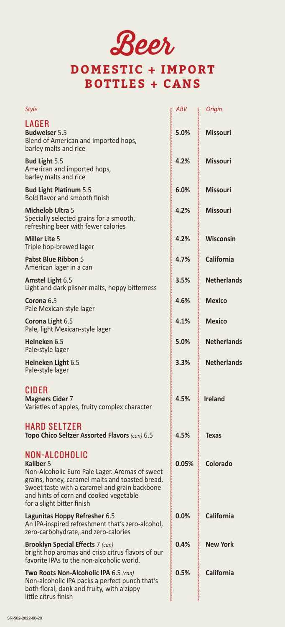Beer

## **DOMESTIC + IMPORT BOTTLES + CANS**

| <b>Style</b>                                                                                                                                                                                                                                             | <b>ABV</b> | Origin             |
|----------------------------------------------------------------------------------------------------------------------------------------------------------------------------------------------------------------------------------------------------------|------------|--------------------|
| LAGER<br><b>Budweiser 5.5</b><br>Blend of American and imported hops,<br>barley malts and rice                                                                                                                                                           | 5.0%       | <b>Missouri</b>    |
| <b>Bud Light 5.5</b><br>American and imported hops,<br>barley malts and rice                                                                                                                                                                             | 4.2%       | <b>Missouri</b>    |
| <b>Bud Light Platinum 5.5</b><br>Bold flavor and smooth finish                                                                                                                                                                                           | 6.0%       | <b>Missouri</b>    |
| <b>Michelob Ultra 5</b><br>Specially selected grains for a smooth,<br>refreshing beer with fewer calories                                                                                                                                                | 4.2%       | <b>Missouri</b>    |
| <b>Miller Lite 5</b><br>Triple hop-brewed lager                                                                                                                                                                                                          | 4.2%       | Wisconsin          |
| Pabst Blue Ribbon 5<br>American lager in a can                                                                                                                                                                                                           | 4.7%       | California         |
| <b>Amstel Light 6.5</b><br>Light and dark pilsner malts, hoppy bitterness                                                                                                                                                                                | 3.5%       | <b>Netherlands</b> |
| Corona 6.5<br>Pale Mexican-style lager                                                                                                                                                                                                                   | 4.6%       | <b>Mexico</b>      |
| Corona Light 6.5<br>Pale, light Mexican-style lager                                                                                                                                                                                                      | 4.1%       | <b>Mexico</b>      |
| Heineken 6.5<br>Pale-style lager                                                                                                                                                                                                                         | 5.0%       | <b>Netherlands</b> |
| Heineken Light 6.5<br>Pale-style lager                                                                                                                                                                                                                   | 3.3%       | <b>Netherlands</b> |
| CIDER<br><b>Magners Cider 7</b><br>Varieties of apples, fruity complex character                                                                                                                                                                         | 4.5%       | <b>Ireland</b>     |
| <b>HARD SELTZER</b><br>Topo Chico Seltzer Assorted Flavors (can) 6.5                                                                                                                                                                                     | 4.5%       | Texas              |
| NON-ALCOHOLIC<br>Kaliber 5<br>Non-Alcoholic Euro Pale Lager. Aromas of sweet<br>grains, honey, caramel malts and toasted bread.<br>Sweet taste with a caramel and grain backbone<br>and hints of corn and cooked vegetable<br>for a slight bitter finish | 0.05%      | Colorado           |
| Lagunitas Hoppy Refresher 6.5<br>An IPA-inspired refreshment that's zero-alcohol,<br>zero-carbohydrate, and zero-calories                                                                                                                                | 0.0%       | <b>California</b>  |
| <b>Brooklyn Special Effects 7 (can)</b><br>bright hop aromas and crisp citrus flavors of our<br>favorite IPAs to the non-alcoholic world.                                                                                                                | 0.4%       | <b>New York</b>    |
| Two Roots Non-Alcoholic IPA 6.5 (can)<br>Non-alcoholic IPA packs a perfect punch that's<br>both floral, dank and fruity, with a zippy<br>little citrus finish                                                                                            | 0.5%       | <b>California</b>  |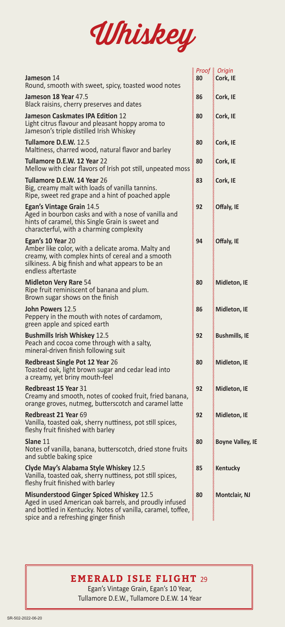

|                                                                                                                                                                                                                  |    | Proof & Origin          |
|------------------------------------------------------------------------------------------------------------------------------------------------------------------------------------------------------------------|----|-------------------------|
| Jameson 14<br>Round, smooth with sweet, spicy, toasted wood notes                                                                                                                                                | 80 | Cork, IE                |
| Jameson 18 Year 47.5<br>Black raisins, cherry preserves and dates                                                                                                                                                | 86 | Cork, IE                |
| Jameson Caskmates IPA Edition 12<br>Light citrus flavour and pleasant hoppy aroma to<br>Jameson's triple distilled Irish Whiskey                                                                                 | 80 | Cork, IE                |
| Tullamore D.E.W. 12.5<br>Maltiness, charred wood, natural flavor and barley                                                                                                                                      | 80 | Cork, IE                |
| Tullamore D.E.W. 12 Year 22<br>Mellow with clear flavors of Irish pot still, unpeated moss                                                                                                                       | 80 | Cork, IE                |
| Tullamore D.E.W. 14 Year 26<br>Big, creamy malt with loads of vanilla tannins.<br>Ripe, sweet red grape and a hint of poached apple                                                                              | 83 | Cork, IE                |
| Egan's Vintage Grain 14.5<br>Aged in bourbon casks and with a nose of vanilla and<br>hints of caramel, this Single Grain is sweet and<br>characterful, with a charming complexity                                | 92 | Offaly, IE              |
| Egan's 10 Year 20<br>Amber like color, with a delicate aroma. Malty and<br>creamy, with complex hints of cereal and a smooth<br>silkiness. A big finish and what appears to be an<br>endless aftertaste          | 94 | Offaly, IE              |
| <b>Midleton Very Rare 54</b><br>Ripe fruit reminiscent of banana and plum.<br>Brown sugar shows on the finish                                                                                                    | 80 | Midleton, IE            |
| <b>John Powers 12.5</b><br>Peppery in the mouth with notes of cardamom,<br>green apple and spiced earth                                                                                                          | 86 | Midleton, IE            |
| <b>Bushmills Irish Whiskey 12.5</b><br>Peach and cocoa come through with a salty,<br>mineral-driven finish following suit                                                                                        | 92 | <b>Bushmills, IE</b>    |
| <b>Redbreast Single Pot 12 Year 26</b><br>Toasted oak, light brown sugar and cedar lead into<br>a creamy, yet briny mouth-feel                                                                                   | 80 | Midleton, IE            |
| <b>Redbreast 15 Year 31</b><br>Creamy and smooth, notes of cooked fruit, fried banana,<br>orange groves, nutmeg, butterscotch and caramel latte                                                                  | 92 | Midleton, IE            |
| Redbreast 21 Year 69<br>Vanilla, toasted oak, sherry nuttiness, pot still spices,<br>fleshy fruit finished with barley                                                                                           | 92 | Midleton, IE            |
| Slane 11<br>Notes of vanilla, banana, butterscotch, dried stone fruits<br>and subtle baking spice                                                                                                                | 80 | <b>Boyne Valley, IE</b> |
| Clyde May's Alabama Style Whiskey 12.5<br>Vanilla, toasted oak, sherry nuttiness, pot still spices,<br>fleshy fruit finished with barley                                                                         | 85 | ≬Kentucky               |
| <b>Misunderstood Ginger Spiced Whiskey 12.5</b><br>Aged in used American oak barrels, and proudly infused<br>and bottled in Kentucky. Notes of vanilla, caramel, toffee,<br>spice and a refreshing ginger finish | 80 | <b>Montclair, NJ</b>    |

## **EMERALD ISLE FLIGHT** 29

 Egan's Vintage Grain, Egan's 10 Year, Tullamore D.E.W., Tullamore D.E.W. 14 Year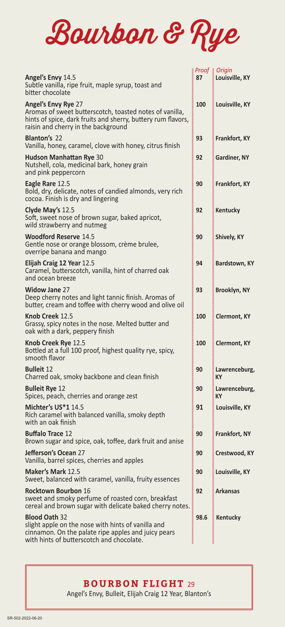

|                                                                                                                                                                                       |      | Proof & Origin      |
|---------------------------------------------------------------------------------------------------------------------------------------------------------------------------------------|------|---------------------|
| Angel's Envy 14.5<br>Subtle vanilla, ripe fruit, maple syrup, toast and<br>bitter chocolate                                                                                           | 87   | Louisville, KY      |
| Angel's Envy Rye 27<br>Aromas of sweet butterscotch, toasted notes of vanilla,<br>hints of spice, dark fruits and sherry, buttery rum flavors,<br>raisin and cherry in the background | 100  | Louisville, KY      |
| <b>Blanton's 22</b><br>Vanilla, honey, caramel, clove with honey, citrus finish                                                                                                       | 93   | Frankfort, KY       |
| <b>Hudson Manhattan Rye 30</b><br>Nutshell, cola, medicinal bark, honey grain<br>and pink peppercorn                                                                                  | 92   | Gardiner, NY        |
| Eagle Rare 12.5<br>Bold, dry, delicate, notes of candied almonds, very rich<br>cocoa. Finish is dry and lingering                                                                     | 90   | Frankfort, KY       |
| Clyde May's 12.5<br>Soft, sweet nose of brown sugar, baked apricot,<br>wild strawberry and nutmeg                                                                                     | 92   | Kentucky            |
| <b>Woodford Reserve 14.5</b><br>Gentle nose or orange blossom, crème brulee,<br>overripe banana and mango                                                                             | 90   | Shively, KY         |
| Elijah Craig 12 Year 12.5<br>Caramel, butterscotch, vanilla, hint of charred oak<br>and ocean breeze                                                                                  | 94   | Bardstown, KY       |
| <b>Widow Jane 27</b><br>Deep cherry notes and light tannic finish. Aromas of<br>butter, cream and toffee with cherry wood and olive oil                                               | 93   | Brooklyn, NY        |
| Knob Creek 12.5<br>Grassy, spicy notes in the nose. Melted butter and<br>oak with a dark, peppery finish                                                                              | 100  | <b>Clermont, KY</b> |
| Knob Creek Rye 12.5<br>Bottled at a full 100 proof, highest quality rye, spicy,<br>smooth flavor                                                                                      | 100  | <b>Clermont, KY</b> |
| <b>Bulleit 12</b><br>Charred oak, smoky backbone and clean finish                                                                                                                     | 90   | Lawrenceburg,<br>КY |
| <b>Bulleit Rye 12</b><br>Spices, peach, cherries and orange zest                                                                                                                      | 90   | Lawrenceburg,<br>КY |
| Michter's US*1 14.5<br>Rich caramel with balanced vanilla, smoky depth<br>with an oak finish                                                                                          | 91   | Louisville, KY      |
| <b>Buffalo Trace 12</b><br>Brown sugar and spice, oak, toffee, dark fruit and anise                                                                                                   | 90   | Frankfort, NY       |
| Jefferson's Ocean 27<br>Vanilla, barrel spices, cherries and apples                                                                                                                   | 90   | Crestwood, KY       |
| Maker's Mark 12.5<br>Sweet, balanced with caramel, vanilla, fruity essences                                                                                                           | 90   | Louisville, KY      |
| <b>Rocktown Bourbon 16</b><br>sweet and smoky perfume of roasted corn, breakfast<br>cereal and brown sugar with delicate baked cherry notes.                                          | 92   | Arkansas            |
| <b>Blood Oath 32</b><br>slight apple on the nose with hints of vanilla and<br>cinnamon. On the palate ripe apples and juicy pears<br>with hints of butterscotch and chocolate.        | 98.6 | Kentucky            |

### **BOURBON FLIGHT** 29

Angel's Envy, Bulleit, Elijah Craig 12 Year, Blanton's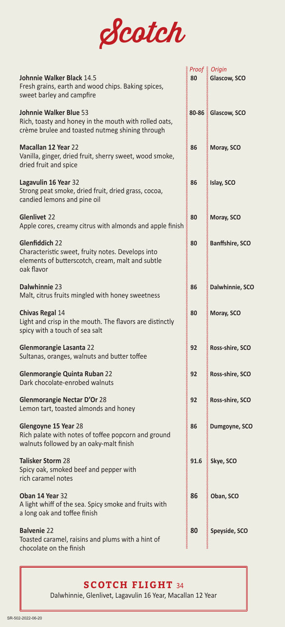

| Johnnie Walker Black 14.5<br>Fresh grains, earth and wood chips. Baking spices,<br>sweet barley and campfire                          | 1000000000<br>80 | Proof & Origin<br>Glascow, SCO |
|---------------------------------------------------------------------------------------------------------------------------------------|------------------|--------------------------------|
| Johnnie Walker Blue 53<br>Rich, toasty and honey in the mouth with rolled oats,<br>crème brulee and toasted nutmeg shining through    |                  | 80-86 & Glascow, SCO           |
| <b>Macallan 12 Year 22</b><br>Vanilla, ginger, dried fruit, sherry sweet, wood smoke,<br>dried fruit and spice                        | 86               | Moray, SCO                     |
| Lagavulin 16 Year 32<br>Strong peat smoke, dried fruit, dried grass, cocoa,<br>candied lemons and pine oil                            | 86               | Islay, SCO                     |
| <b>Glenlivet 22</b><br>Apple cores, creamy citrus with almonds and apple finish                                                       | 80               | Moray, SCO                     |
| Glenfiddich 22<br>Characteristic sweet, fruity notes. Develops into<br>elements of butterscotch, cream, malt and subtle<br>oak flavor | 80               | <b>Banffshire, SCO</b>         |
| Dalwhinnie 23<br>Malt, citrus fruits mingled with honey sweetness                                                                     | 86               | Dalwhinnie, SCO                |
| <b>Chivas Regal 14</b><br>Light and crisp in the mouth. The flavors are distinctly<br>spicy with a touch of sea salt                  | 80               | Moray, SCO                     |
| Glenmorangie Lasanta 22<br>Sultanas, oranges, walnuts and butter toffee                                                               | 92               | Ross-shire, SCO                |
| <b>Glenmorangie Quinta Ruban 22</b><br>Dark chocolate-enrobed walnuts                                                                 | 92               | Ross-shire, SCO                |
| <b>Glenmorangie Nectar D'Or 28</b><br>Lemon tart, toasted almonds and honey                                                           | 92               | Ross-shire, SCO                |
| Glengoyne 15 Year 28<br>Rich palate with notes of toffee popcorn and ground<br>walnuts followed by an oaky-malt finish                | 86               | Dumgoyne, SCO                  |
| <b>Talisker Storm 28</b><br>Spicy oak, smoked beef and pepper with<br>rich caramel notes                                              | 91.6             | Skye, SCO                      |
| Oban 14 Year 32<br>A light whiff of the sea. Spicy smoke and fruits with<br>a long oak and toffee finish                              | 86               | Oban, SCO                      |
| <b>Balvenie 22</b><br>Toasted caramel, raisins and plums with a hint of<br>chocolate on the finish                                    | 80               | Speyside, SCO                  |

## **SCOTCH FLIGHT** 34

Dalwhinnie, Glenlivet, Lagavulin 16 Year, Macallan 12 Year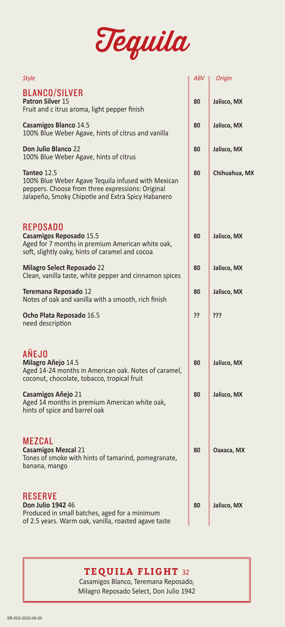

| <b>Style</b>                                                                                                                                                               | ABV | Origin<br>≫   |
|----------------------------------------------------------------------------------------------------------------------------------------------------------------------------|-----|---------------|
| <b>BLANCO/SILVER</b><br><b>Patron Silver 15</b><br>Fruit and c itrus aroma, light pepper finish                                                                            | 80  | Jalisco, MX   |
| <b>Casamigos Blanco 14.5</b><br>100% Blue Weber Agave, hints of citrus and vanilla                                                                                         | 80  | Jalisco, MX   |
| <b>Don Julio Blanco 22</b><br>100% Blue Weber Agave, hints of citrus                                                                                                       | 80  | Jalisco, MX   |
| Tanteo 12.5<br>100% Blue Weber Agave Tequila infused with Mexican<br>peppers. Choose from three expressions: Original<br>Jalapeño, Smoky Chipotle and Extra Spicy Habanero | 80  | Chihuahua, MX |
| <b>REPOSADO</b><br>Casamigos Reposado 15.5<br>Aged for 7 months in premium American white oak,<br>soft, slightly oaky, hints of caramel and cocoa                          | 80  | Jalisco, MX   |
| <b>Milagro Select Reposado 22</b><br>Clean, vanilla taste, white pepper and cinnamon spices                                                                                | 80  | Jalisco, MX   |
| Teremana Reposado 12<br>Notes of oak and vanilla with a smooth, rich finish                                                                                                | 80  | Jalisco, MX   |
| Ocho Plata Reposado 16.5<br>need description                                                                                                                               | ??  | ???           |
| AÑEJO<br>Milagro Añejo 14.5<br>Aged 14-24 months in American oak. Notes of caramel,<br>coconut, chocolate, tobacco, tropical fruit                                         | 80  | Jalisco, MX   |
| Casamigos Añejo 21<br>Aged 14 months in premium American white oak,<br>hints of spice and barrel oak                                                                       | 80  | Jalisco, MX   |
| <b>MEZCAL</b><br><b>Casamigos Mezcal 21</b><br>Tones of smoke with hints of tamarind, pomegranate,<br>banana, mango                                                        | 80  | Oaxaca, MX    |
| <b>RESERVE</b><br>Don Julio 1942 46<br>Produced in small batches, aged for a minimum<br>of 2.5 years. Warm oak, vanilla, roasted agave taste                               | 80  | Jalisco, MX   |

## **TEQUILA FLIGHT** 32

Casamigos Blanco, Teremana Reposado, Milagro Reposado Select, Don Julio 1942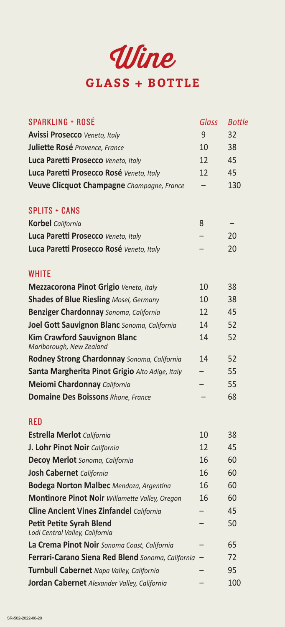

| <b>SPARKLING + ROSÉ</b>                                            | <b>Glass</b> | <b>Bottle</b> |
|--------------------------------------------------------------------|--------------|---------------|
| <b>Avissi Prosecco Veneto, Italy</b>                               | 9            | 32            |
| Juliette Rosé Provence, France                                     | 10           | 38            |
| Luca Paretti Prosecco Veneto, Italy                                | 12           | 45            |
| Luca Paretti Prosecco Rosé Veneto, Italy                           | 12           | 45            |
| Veuve Clicquot Champagne Champagne, France                         |              | 130           |
| <b>SPLITS + CANS</b>                                               |              |               |
| <b>Korbel</b> California                                           | 8            |               |
| Luca Paretti Prosecco Veneto, Italy                                |              | 20            |
| Luca Paretti Prosecco Rosé Veneto, Italy                           |              | 20            |
| <b>WHITE</b>                                                       |              |               |
| Mezzacorona Pinot Grigio Veneto, Italy                             | 10           | 38            |
| <b>Shades of Blue Riesling Mosel, Germany</b>                      | 10           | 38            |
| <b>Benziger Chardonnay</b> Sonoma, California                      | 12           | 45            |
| Joel Gott Sauvignon Blanc Sonoma, California                       | 14           | 52            |
| <b>Kim Crawford Sauvignon Blanc</b><br>Marlborough, New Zealand    | 14           | 52            |
| Rodney Strong Chardonnay Sonoma, California                        | 14           | 52            |
| Santa Margherita Pinot Grigio Alto Adige, Italy                    |              | 55            |
| Meiomi Chardonnay California                                       |              | 55            |
| <b>Domaine Des Boissons Rhone, France</b>                          |              | 68            |
| <b>RED</b>                                                         |              |               |
| <b>Estrella Merlot</b> California                                  | 10           | 38            |
| J. Lohr Pinot Noir California                                      | 12           | 45            |
| Decoy Merlot Sonoma, California                                    | 16           | 60            |
| Josh Cabernet California                                           | 16           | 60            |
| <b>Bodega Norton Malbec</b> Mendoza, Argentina                     | 16           | 60            |
| Montinore Pinot Noir Willamette Valley, Oregon                     | 16           | 60            |
| <b>Cline Ancient Vines Zinfandel California</b>                    |              | 45            |
| <b>Petit Petite Syrah Blend</b><br>Lodi Central Valley, California |              | 50            |
| La Crema Pinot Noir Sonoma Coast, California                       |              | 65            |
| Ferrari-Carano Siena Red Blend Sonoma, California                  |              | 72            |
| Turnbull Cabernet Napa Valley, California                          |              | 95            |
| Jordan Cabernet Alexander Valley, California                       |              | 100           |
|                                                                    |              |               |